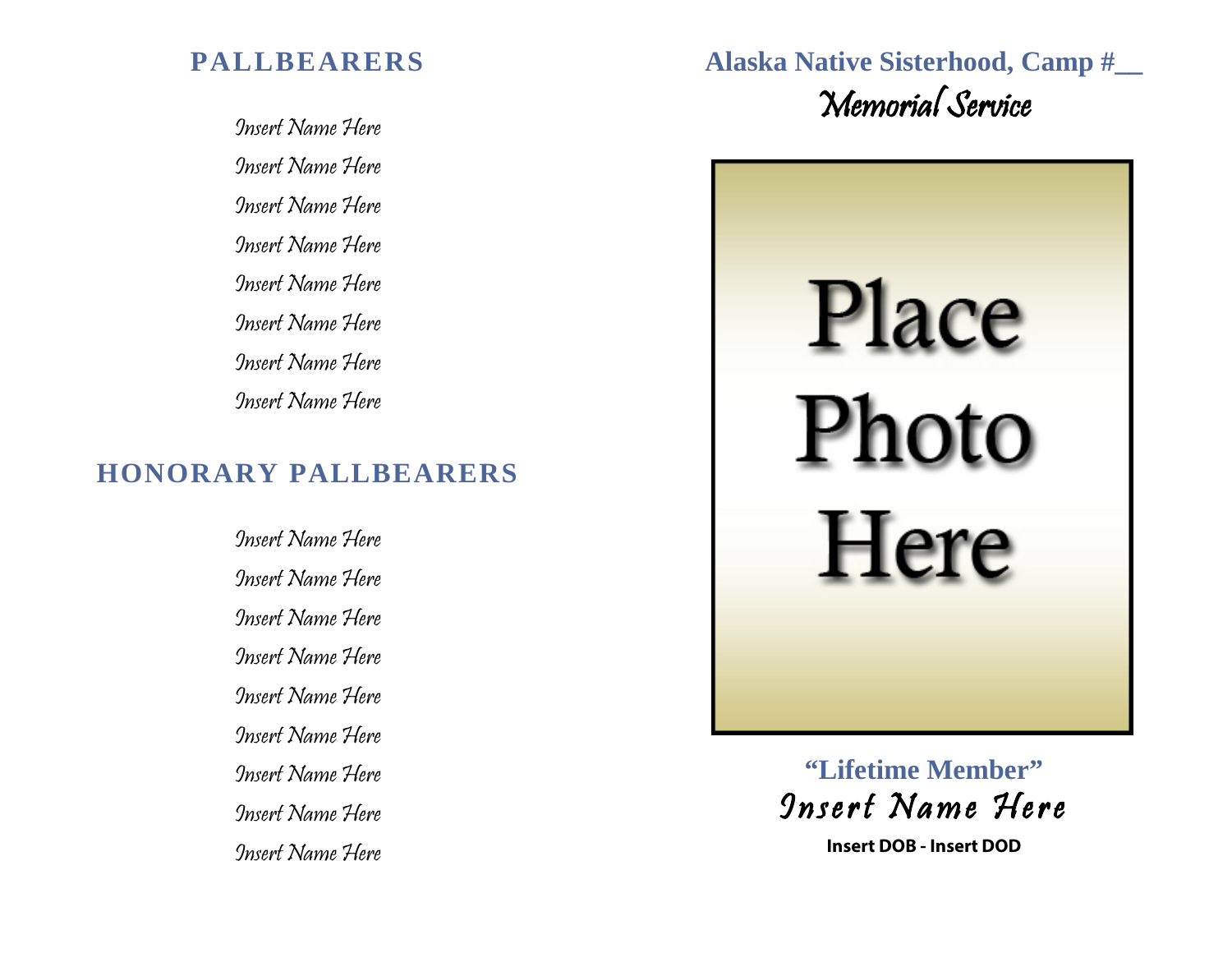## **PALLBEARERS**

Insert Name Here Insert Name Here Insert Name Here Insert Name Here Insert Name Here Insert Name Here Insert Name Here Insert Name Here

## **HONORARY PALLBEARERS**

Insert Name Here Insert Name Here Insert Name Here Insert Name Here Insert Name Here Insert Name Here Insert Name Here Insert Name Here Insert Name Here **Alaska Native Sisterhood, Camp #\_\_** Memorial Service



**"Lifetime Member"** Insert Name Here

**Insert DOB - Insert DOD**